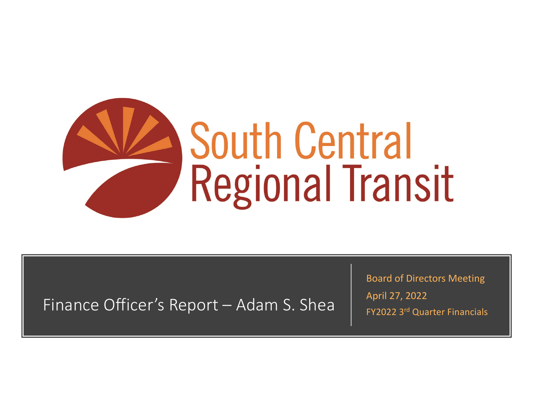

Finance Officer's Report – Adam S. Shea

Board of Directors Meeting April 27, 2022 FY2022 3rd Quarter Financials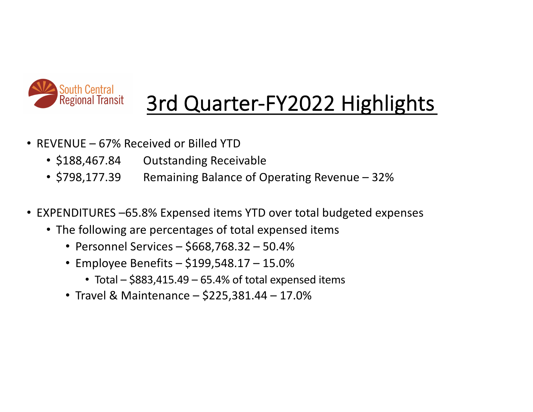

## 3rd Quarter-FY2022 Highlights

- REVENUE 67% Received or Billed YTD
	- \$188,467.84 Outstanding Receivable
	- \$798,177.39 Remaining Balance of Operating Revenue 32%
- EXPENDITURES –65.8% Expensed items YTD over total budgeted expenses
	- The following are percentages of total expensed items
		- Personnel Services \$668,768.32 50.4%
		- Employee Benefits \$199,548.17 15.0%
			- Total \$883,415.49 65.4% of total expensed items
		- Travel & Maintenance \$225,381.44 17.0%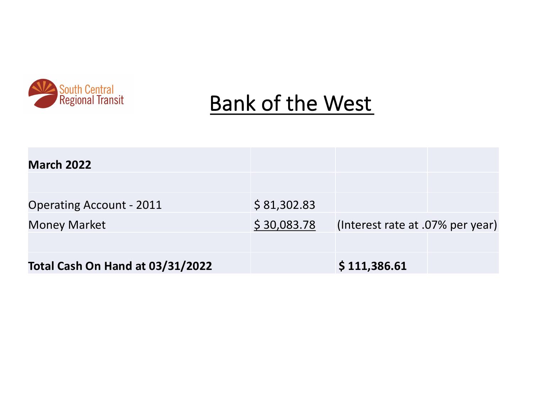

## Bank of the West

| <b>March 2022</b>                |             |                                  |  |
|----------------------------------|-------------|----------------------------------|--|
| <b>Operating Account - 2011</b>  | \$81,302.83 |                                  |  |
| <b>Money Market</b>              | \$30,083.78 | (Interest rate at .07% per year) |  |
|                                  |             |                                  |  |
| Total Cash On Hand at 03/31/2022 |             | \$111,386.61                     |  |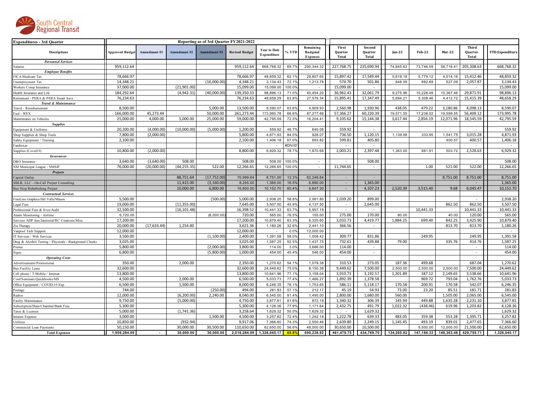

| <b>Expenditures - 3rd Quarter</b>                      | Reporting as of 3rd Quarter FY2021-2022 |              |              |              |                       |                                    |                   |                                                 |                           |                            |            |                    |               |                           |                        |
|--------------------------------------------------------|-----------------------------------------|--------------|--------------|--------------|-----------------------|------------------------------------|-------------------|-------------------------------------------------|---------------------------|----------------------------|------------|--------------------|---------------|---------------------------|------------------------|
| <b>Descriptions</b>                                    | <b>Approved Budget</b>                  | Amendment #1 | Amendment #2 | Amendment#3  | <b>Revised Budget</b> | <b>Year to Date</b><br>Expenditure | % YTD             | Remaining<br><b>Budgeted</b><br><b>Expenses</b> | First<br>Quarter<br>Total | Second<br>Quarter<br>Total | $Jan-22$   | <b>Feb-22</b>      | <b>Mar-22</b> | Third<br>Quarter<br>Total | <b>YTD Expenditure</b> |
| <b>Personnel Services</b>                              |                                         |              |              |              |                       |                                    |                   |                                                 |                           |                            |            |                    |               |                           |                        |
| Salaries                                               | 959,112.64                              |              |              |              | 959,112.64            | 668,768.32                         | 69.7%             | 290,344.32                                      | 227,768.75                | 235,690.94                 | 74,845.63  | 73,746.59          | 56,716.41     | 205,308.63                | 668,768.32             |
| <b>Employee Benefits</b>                               |                                         |              |              |              |                       |                                    |                   |                                                 |                           |                            |            |                    |               |                           |                        |
| FICA/Medicare Tax                                      | 78,666.97                               |              |              |              | 78,666.97             | 48.859.32                          | 62.19             | 29,807.65                                       | 15,897.42                 | 17,549.44                  | 5.619.18   | 5,779.12           | 4,014.16      | 15,412.46                 | 48,859.32              |
| Unemployment Tax                                       | 14,348.21                               |              |              | (10,000.00)  | 4,348.21              | 3,134.43                           | 72.19             | 1,213.78                                        | 574.70                    | 501.86                     | 648.09     | 882.69             | 527.09        | 2,057.87                  | 3,134.43               |
| Workers Comp Insurance                                 | 37,000.00                               |              | (21,901.00)  |              | 15,099.00             | 15,099.00                          | 100.0%            | $\overline{a}$                                  | 15,099.00                 | $\sim$                     |            |                    |               |                           | 15,099.00              |
| Health Insurance and Life                              | 184,292.64                              |              | (4,942.31)   | (40,000.00)  | 139,350.33            | 98,896.13                          | 71.0%             | 40,454.20                                       | 36,962.43                 | 32,061.79                  | 9,275.96   | 10,228.49          | 10,367.46     | 29,871.91                 | 98,896.13              |
| Retirement - PERA & PERA Smart Save                    | 76,234.63                               |              |              |              | 76,234.63             | 48,658.29                          | 63.8%             | 27,576.34                                       | 15,895.41                 | 17,347.49                  | 5,694.21   | 5,308.46           | 4,412.72      | 15,415.39                 | 48,658.29              |
| <b>Travel &amp; Maintenance</b>                        |                                         |              |              |              |                       |                                    |                   |                                                 |                           |                            |            |                    |               |                           |                        |
| Travel - Reimbursement                                 | 8,500.00                                |              |              | 5,000.00     | 13,500.00             | 8,590.07                           | 63.6%             | 4,909.93                                        | 2,560.98                  | 1,930.96                   | 438.05     | 479.22             | 3,180.86      | 4,098.13                  | 8,590.07               |
| Fuel - WEX                                             | 166,000.00                              | 45,273.44    |              | 50,000.00    | 261,273.44            | 173,995.78                         | 66.69             | 87,277.66                                       | 57,366.27                 | 60,220.39                  | 19,571.55  | 17,238.02          | 19,599.55     | 56,409.12                 | 173,995.78             |
| Maintenance on Vehicles                                | 25,000.00                               | 4,000.00     | 5,000.00     | 25,000.00    | 59,000.00             | 42,795.59                          | 72.5%             | 16,204.41                                       | 9,105.62                  | 15,144.38                  | 3,617.44   | 2,856.19           | 12,071.96     | 18,545.59                 | 42,795.59              |
| <b>Supplies</b>                                        |                                         |              |              |              |                       |                                    |                   |                                                 |                           |                            |            |                    |               |                           |                        |
| Equipment & Uniforms                                   | 20,200.00                               | (4,000.00)   | (10,000.00)  | (5,000.00)   | 1,200.00              | 559.92                             | 46.7%             | 640.08                                          | 559.92                    |                            |            |                    |               |                           | 559.92                 |
| Shop Supplies & Shop Tools                             | 7,800.00                                | (2,000.00)   |              |              | 5,800.00              | 4,871.93                           | 84.0%             | 928.07                                          | 736.50                    | 1,120.15                   | 1,139.58   | 333.95             | 1,541.75      | 3,015.28                  | 4,871.93               |
| Safety Equipment / Training                            | 2,100.00                                |              |              |              | 2,100.00              | 1,406.18                           | 67.0%             | 693.82                                          | 599.81                    | 405.80                     |            |                    | 400.57        | 400.57                    | 1,406.18               |
| Fareboxes                                              |                                         |              |              |              |                       |                                    | #DIV/0            |                                                 |                           |                            |            |                    |               |                           |                        |
| Supplies (Covid19)                                     | 10,800.00                               | (2,000.00)   |              |              | 8,800.00              | 6,929.32                           | 78.79             | 1,870.68                                        | 2,003.21                  | 2,397.48                   | 1,363.00   | 661.91             | 503.72        | 2,528.63                  | 6,929.32               |
| <b>Insurances</b>                                      |                                         |              |              |              |                       |                                    |                   |                                                 |                           |                            |            |                    |               |                           |                        |
| D&O Insurance                                          | 3,640.00                                | (3,640.00)   | 508.00       |              | 508.00                | 508.00                             | 100.09            | $\sim$                                          |                           | 508.00                     |            |                    |               |                           | 508.00                 |
| NM Municipal League - NMSIF                            | 76,000.00                               | (20,000.00)  | (44, 255.35) | 522.00       | 12,266.65             | 12,266.65                          | 100.0%            | $\sim$                                          | 11,744.65                 | $\sim$                     |            | 1.00               | 521.00        | 522.00                    | 12,266.65              |
| <b>Projects</b>                                        |                                         |              |              |              |                       |                                    |                   |                                                 |                           |                            |            |                    |               |                           |                        |
| Capital Outlay                                         |                                         |              | 88,751.64    | (17, 752.00) | 70,999.64             | 8,751.00                           | 12.39             | 62,248.64                                       | $\sim$                    | $\sim$                     |            |                    | 8,751.00      | 8,751.00                  | 8,751.00               |
| SBLB, LLC - On-Call Project Consulting                 |                                         |              | 11,415.00    | (3, 160.00)  | 8,255.00              | 1,365.00                           | 16.5%             | 6,890.00                                        | $\sim$                    | 1,365.00                   |            |                    |               |                           | 1,365.00               |
| <b>Bus Stop Refurbishing Project</b>                   |                                         |              | 10.000.00    | 6,800.00     | 16,800.00             | 10,152.70                          | 60.4%             | 6,647.30                                        | $\sim$                    | 4,107.23                   | 2,520.39   | 3,515.40           | 9.68          | 6,045.47                  | 10,152.70              |
| <b>Contractual Services</b>                            |                                         |              |              |              |                       |                                    |                   |                                                 |                           |                            |            |                    |               |                           |                        |
| ineLine Graphics/Del Valle/Mason                       | 5,500.00                                |              |              | (500.00)     | 5,000.00              | 2,938.20                           | 58.8%             | 2,061.80                                        | 2,039.20                  | 899.00                     |            |                    |               |                           | 2,938.20               |
| Legal Fees                                             | 19.000.00                               |              | (11, 355.00) |              | 7.645.00              | 3.507.50                           | 45.9%             | 4,137.50                                        | $\sim$                    | 2,645.00                   |            |                    | 862.50        | 862.50                    | 3,507.50               |
| Professional Fees & Svcs/Audit                         | 32,500.00                               |              | (16, 101.48) |              | 16,398.52             | 10,441.33                          | 63.7%             | 5,957.19                                        | $\sim$                    | $\sim$                     |            | 10,441.33          |               | 10,441.33                 | 10,441.33              |
| Alam Monitoring / Airtime                              | 6,720.00                                |              |              | (6,000.00)   | 720.00                | 565.00                             | 78.5 <sup>°</sup> | 155.00                                          | 275.00                    | 170.00                     | 80.00      |                    | 40.00         | 120.00                    | 565.00                 |
| Services ADP fees/Janitorial/RC Creations/Misc         | 17,200.00                               |              |              |              | 17,200.00             | 10,879.40                          | 63.39             | 6,320.60                                        | 3,033.73                  | 4,419.77                   | 1,884.25   | 699.40             | 842.25        | 3,425.90                  | 10,879.40              |
| Zia Therapy                                            | 20,000.00                               | (17, 633.44) | 1,254.80     |              | 3,621.36              | 1,180.26                           | 32.6%             | 2,441.10                                        | 366.56                    | $\sim$                     |            |                    | 813.70        | 813.70                    | 1,180.26               |
| Vanpool Tech Support                                   | 12,000.00                               |              |              |              | 12,000.00             |                                    | 0.09              | 12,000.00                                       |                           |                            |            |                    |               |                           |                        |
| IT Services / Web Services                             | 3,500.00                                |              |              | (1,100.00)   | 2,400.00              | 1,391.58                           | 58.0%             | 1,008.42                                        | 309.77                    | 831.86                     |            | 249.95             |               | 249.95                    | 1,391.58               |
| Drug & Alcohol Testing / Physicals / Background Checks | 3,025.00                                |              |              |              | 3,025.00              | 1,587.25                           | 52.59             | 1,437.75                                        | 732.61                    | 439.88                     | 79.00      |                    | 335.76        | 414.76                    | 1,587.25               |
| Printer                                                | 5,800.00                                |              |              | (2,000.00)   | 3,800.00              | 114.00                             | 3.0%              | 3,686.00                                        | 114.00                    | $\sim$                     |            |                    |               | $\sim$                    | 114.00                 |
| Signs                                                  | 6,800.00                                |              |              | (5,800.00    | 1.000.00              | 454.00                             | 45.4%             | 546.00                                          | 454.00                    | $\sim$                     |            |                    |               | $\sim$                    | 454.00                 |
| <b>Operating Costs</b>                                 |                                         |              |              |              |                       |                                    |                   |                                                 |                           |                            |            |                    |               |                           |                        |
| Advertisements/Promotional                             | 350.00                                  |              | 2,000.00     |              | 2,350.00              | 1,270.62                           | 54.19             | 1,079.38                                        | 310.53                    | 273.05                     | 187.36     | 499.68             |               | 687.04                    | 1,270.62               |
| <b>Bus Facility Lease</b>                              | 32,600.00                               |              |              |              | 32,600.00             | 24,449.62                          | 75.0%             | 8,150.38                                        | 9,449.62                  | 7,500.00                   | 2,500.00   | 2,500.00           | 2,500.00      | 7,500.00                  | 24,449.62              |
| Cell phone / T-Mobile / Internet                       | 13,800.00                               |              |              |              | 13,800.00             | 10,641.96                          | 77.19             | 3,158.04                                        | 3,910.73                  | 3,192.57                   | 1,201.89   | 187.12             | 2,149.65      | 3,538.66                  | 10,641.96              |
| onf/Seminars/Quickbooks/MS                             | 4,500.00                                |              | 2,000.00     |              | 6,500.00              | 5,033.73                           | 77.4%             | 1,466.27                                        | 1,892.39                  | 1,378.58                   |            | 969.72             | 793.04        | 1,762.76                  | 5,033.73               |
|                                                        | 6,500.00                                |              | 1,500.00     |              | 8,000.00              | 6,246.35                           | 78.19             | 1,753.65                                        | 586.11                    | 5,118.17                   | 170.58     | 200.91             | 170.58        | 542.07                    | 6,246.35               |
| Office Equipment / COVID-19 Exp                        | 744.00                                  |              |              | (250.00)     | 494.00                | 281.83                             | 57.1%             | 212.17                                          | 45.19                     | 54.93                      | 73.00      | 23.20              | 85.51         | 181.71                    | 281.83                 |
| Postage                                                |                                         |              |              |              |                       |                                    |                   |                                                 |                           |                            |            |                    |               |                           |                        |
| Radios                                                 | 12,000.00                               |              | (6, 200.00)  | 2,240.00     | 8,040.00              | 6,545.00                           | 81.4%             | 1,495.00                                        | 2,800.00                  | 1,680.00                   | 560.00     |                    | 1,505.00      | 2,065.00                  | 6,545.00               |
| Facilty Maintenance                                    | 9,750.00                                |              | (5,000.00)   |              | 4,750.00              | 3,877.81                           | 81.6%             | 872.19                                          | 1,340.32                  | 306.39                     | 145.94     | 449.88<br>(438.46) | 1,635.28      | 2,231.10                  | 3,877.81               |
| Subscription/Dues/Chamber/Bank Fees                    | 5,300.00                                |              |              |              | 5,300.00              | 4,128.36                           | 77.9%             | 1,171.64                                        | 2,432.75                  | 491.79                     | 1,022.32   |                    | 619.96        | 1,203.82                  | 4,128.36               |
| Taxes & Licenses                                       | 5,000.00                                |              | (1,741.36)   |              | 3,258.64              | 1,629.32                           | 50.0%             | 1,629.32                                        | $\overline{\phantom{a}}$  | 1,629.32                   |            |                    |               | $\sim$                    | 1,629.32               |
| <b>Interest Expense</b>                                | 3,000.00                                |              |              | 1,500.00     | 4,500.00              | 3,257.82                           | 72.4%             | 1,242.18                                        | 1,222.78                  | 639.33                     | 483.05     | 359.38             | 553.28        | 1,395.71                  | 3,257.82               |
| Utilities                                              | 10,850.00                               |              | (932.94)     |              | 9,917.06              | 7,366.60                           | 74.39             | 2,550.46                                        | 2,639.80                  | 2,249.15                   | 1,145.45   | 493.19             | 839.01        | 2,477.65                  | 7,366.60               |
| Commercial Loan Payments                               | 50,150.00                               |              | 30,000.00    | 30,500.00    | 110,650.00            | 62,650.00                          | 56.6%             | 48,000.00                                       | 30,650.00                 | 10,500.00                  |            | 9,500.00           | 12,000.00     | 21,500.00                 | 62,650.00              |
| <b>Total Expenses</b>                                  | 1,956,284.09                            |              | 30,000.00    | 30,000.00    | 2,016,284.09          | 1,326,045.17                       | 65.89             | 690,238.92                                      | 461,479.75                | 434,769.70                 | 134,265.92 | 147,166.33         | 148,363.46    | 429,795.71                | 1,326,045.17           |